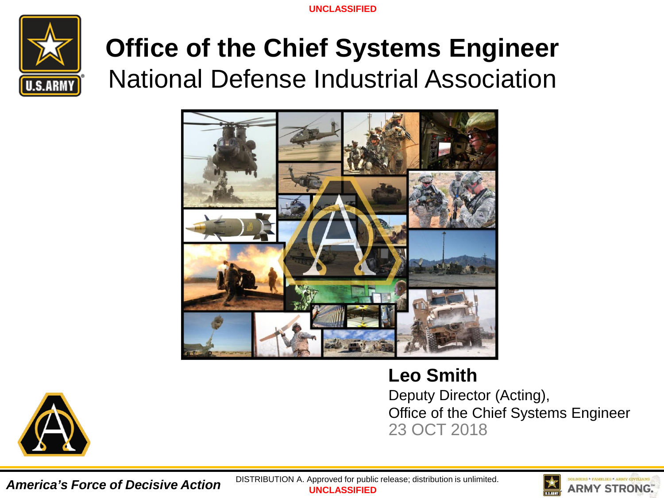

# **Office of the Chief Systems Engineer** National Defense Industrial Association



**Leo Smith** Deputy Director (Acting), Office of the Chief Systems Engineer 23 OCT 2018



*America's Force of Decisive Action*

**UNCLASSIFIED** DISTRIBUTION A. Approved for public release; distribution is unlimited.

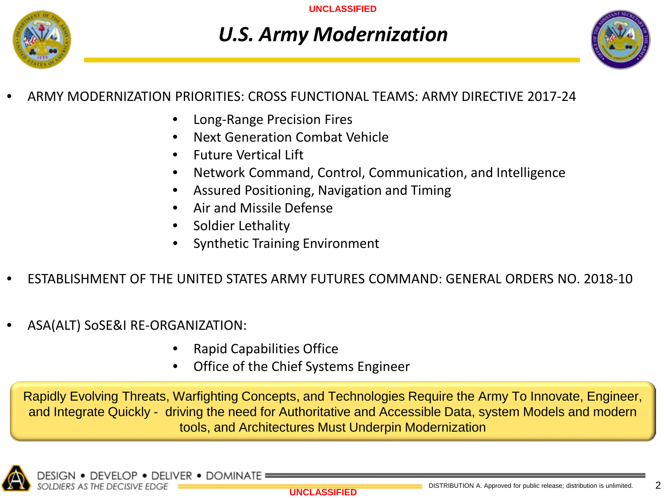

## *U.S. Army Modernization*



## • ARMY MODERNIZATION PRIORITIES: CROSS FUNCTIONAL TEAMS: ARMY DIRECTIVE 2017-24

- Long-Range Precision Fires
- Next Generation Combat Vehicle
- Future Vertical Lift
- Network Command, Control, Communication, and Intelligence
- Assured Positioning, Navigation and Timing
- Air and Missile Defense
- Soldier Lethality
- Synthetic Training Environment
- ESTABLISHMENT OF THE UNITED STATES ARMY FUTURES COMMAND: GENERAL ORDERS NO. 2018-10
- ASA(ALT) SoSE&I RE-ORGANIZATION:
	- Rapid Capabilities Office
	- Office of the Chief Systems Engineer

Rapidly Evolving Threats, Warfighting Concepts, and Technologies Require the Army To Innovate, Engineer, and Integrate Quickly - driving the need for Authoritative and Accessible Data, system Models and modern tools, and Architectures Must Underpin Modernization

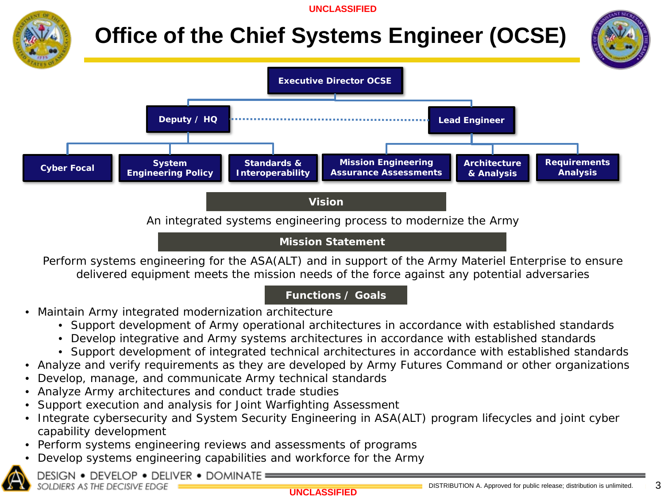

## **Office of the Chief Systems Engineer (OCSE)**



*Mission Statement*

Perform systems engineering for the ASA(ALT) and in support of the Army Materiel Enterprise to ensure delivered equipment meets the mission needs of the force against any potential adversaries

### *Functions / Goals*

- Maintain Army integrated modernization architecture
	- Support development of Army operational architectures in accordance with established standards
	- Develop integrative and Army systems architectures in accordance with established standards
	- Support development of integrated technical architectures in accordance with established standards
- Analyze and verify requirements as they are developed by Army Futures Command or other organizations
- Develop, manage, and communicate Army technical standards
- Analyze Army architectures and conduct trade studies
- Support execution and analysis for Joint Warfighting Assessment
- Integrate cybersecurity and System Security Engineering in ASA(ALT) program lifecycles and joint cyber capability development
- Perform systems engineering reviews and assessments of programs
- Develop systems engineering capabilities and workforce for the Army



DESIGN . DEVELOP . DELIVER . DOMINATE = SOLDIERS AS THE DECISIVE EDGE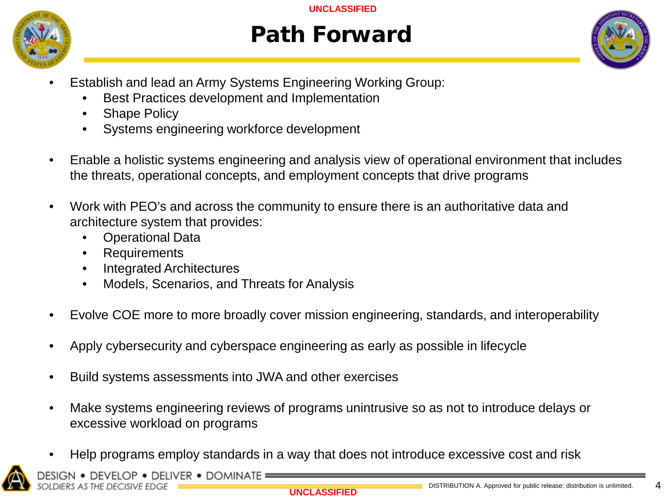

## Path Forward



- Establish and lead an Army Systems Engineering Working Group:
	- Best Practices development and Implementation
	- **Shape Policy**
	- Systems engineering workforce development
- Enable a holistic systems engineering and analysis view of operational environment that includes the threats, operational concepts, and employment concepts that drive programs
- Work with PEO's and across the community to ensure there is an authoritative data and architecture system that provides:
	- Operational Data
	- Requirements
	- Integrated Architectures
	- Models, Scenarios, and Threats for Analysis
- Evolve COE more to more broadly cover mission engineering, standards, and interoperability
- Apply cybersecurity and cyberspace engineering as early as possible in lifecycle
- Build systems assessments into JWA and other exercises
- Make systems engineering reviews of programs unintrusive so as not to introduce delays or excessive workload on programs
- Help programs employ standards in a way that does not introduce excessive cost and risk



DEVELOP . DELIVER . DOMINATE OLDIERS AS THE DECISIVE EDGE